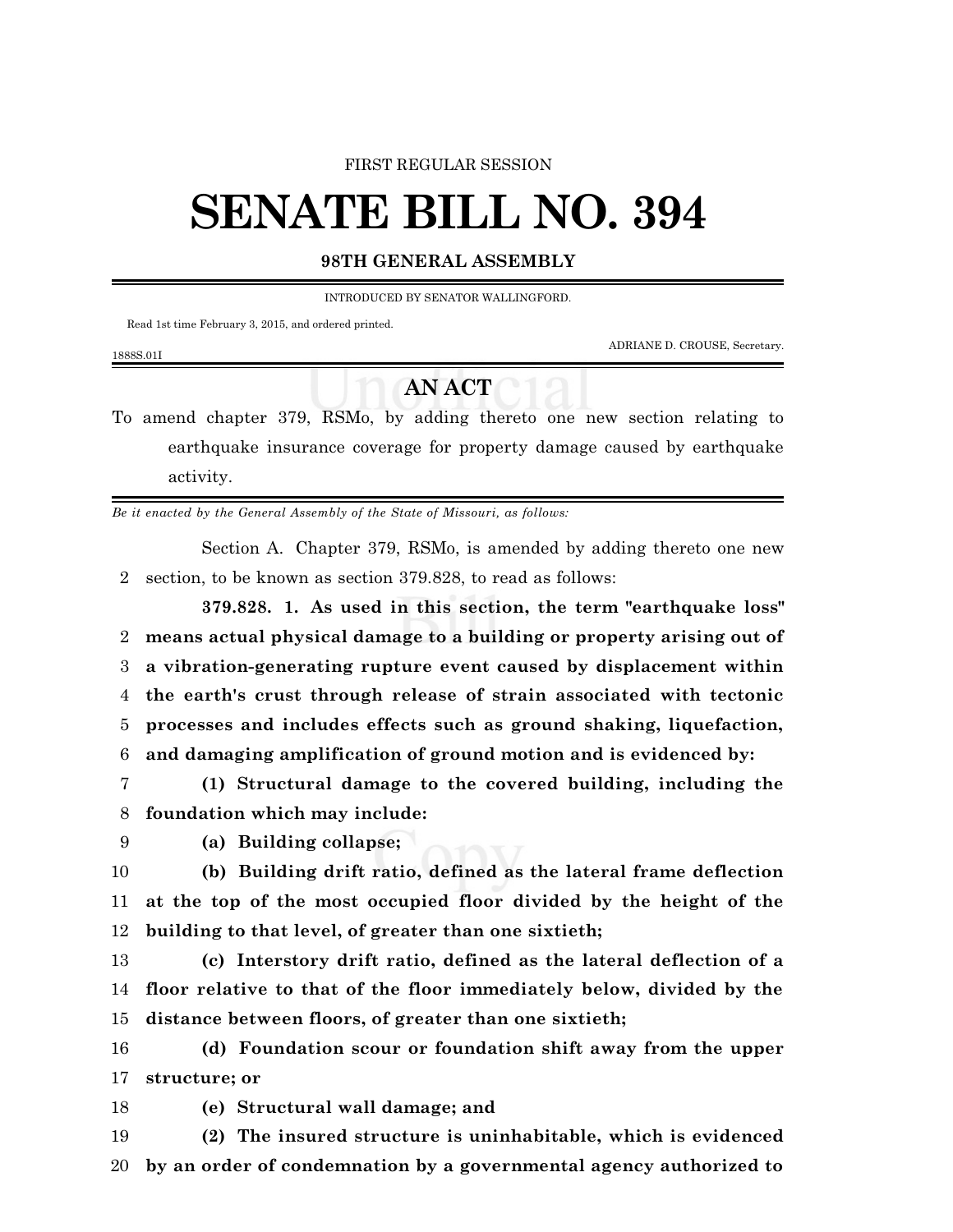#### FIRST REGULAR SESSION

# **SENATE BILL NO. 394**

### **98TH GENERAL ASSEMBLY**

INTRODUCED BY SENATOR WALLINGFORD.

Read 1st time February 3, 2015, and ordered printed.

ADRIANE D. CROUSE, Secretary.

#### 1888S.01I

# **AN ACT**

To amend chapter 379, RSMo, by adding thereto one new section relating to earthquake insurance coverage for property damage caused by earthquake activity.

*Be it enacted by the General Assembly of the State of Missouri, as follows:*

Section A. Chapter 379, RSMo, is amended by adding thereto one new 2 section, to be known as section 379.828, to read as follows:

**379.828. 1. As used in this section, the term "earthquake loss" means actual physical damage to a building or property arising out of a vibration-generating rupture event caused by displacement within the earth's crust through release of strain associated with tectonic processes and includes effects such as ground shaking, liquefaction, and damaging amplification of ground motion and is evidenced by:**

7 **(1) Structural damage to the covered building, including the** 8 **foundation which may include:**

## 9 **(a) Building collapse;**

10 **(b) Building drift ratio, defined as the lateral frame deflection** 11 **at the top of the most occupied floor divided by the height of the** 12 **building to that level, of greater than one sixtieth;**

13 **(c) Interstory drift ratio, defined as the lateral deflection of a** 14 **floor relative to that of the floor immediately below, divided by the** 15 **distance between floors, of greater than one sixtieth;**

16 **(d) Foundation scour or foundation shift away from the upper** 17 **structure; or**

18 **(e) Structural wall damage; and**

19 **(2) The insured structure is uninhabitable, which is evidenced** 20 **by an order of condemnation by a governmental agency authorized to**